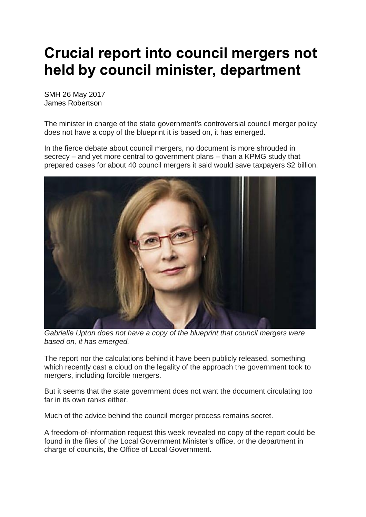## **Crucial report into council mergers not held by council minister, department**

SMH 26 May 2017 James Robertson

The minister in charge of the state government's controversial council merger policy does not have a copy of the blueprint it is based on, it has emerged.

In the fierce debate about council mergers, no document is more shrouded in secrecy – and yet more central to government plans – than a KPMG study that prepared cases for about 40 council mergers it said would save taxpayers \$2 billion.



*Gabrielle Upton does not have a copy of the blueprint that council mergers were based on, it has emerged.* 

The report nor the calculations behind it have been publicly released, something which recently cast a cloud on the legality of the approach the government took to mergers, including forcible mergers.

But it seems that the state government does not want the document circulating too far in its own ranks either.

Much of the advice behind the council merger process remains secret.

A freedom-of-information request this week revealed no copy of the report could be found in the files of the Local Government Minister's office, or the department in charge of councils, the Office of Local Government.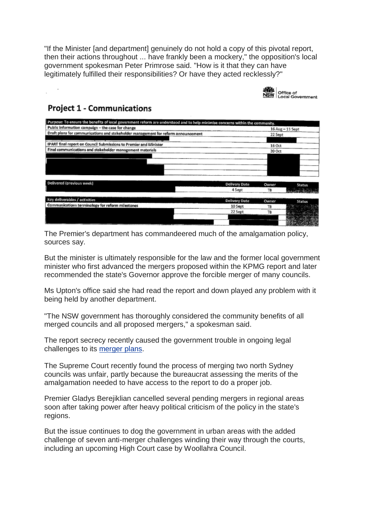"If the Minister [and department] genuinely do not hold a copy of this pivotal report, then their actions throughout ... have frankly been a mockery," the opposition's local government spokesman Peter Primrose said. "How is it that they can have legitimately fulfilled their responsibilities? Or have they acted recklessly?"



## **Project 1 - Communications**

| Purpose: To ensure the benefits of local government reform are understood and to help minimise concerns within the community. |                      |                  |                 |
|-------------------------------------------------------------------------------------------------------------------------------|----------------------|------------------|-----------------|
| Public Information campaign - the case for change                                                                             |                      | 16 Aug - 11 Sept |                 |
| Draft plans for communications and stakeholder management for reform announcement                                             |                      | 22 Sept          |                 |
|                                                                                                                               |                      |                  |                 |
| IPART final report on Council Submissions to Premier and Minister                                                             |                      | 16 Oct           |                 |
| Final communications and stakeholder management materials                                                                     |                      | 20 Oct           |                 |
|                                                                                                                               |                      |                  |                 |
|                                                                                                                               |                      |                  |                 |
|                                                                                                                               |                      |                  |                 |
|                                                                                                                               |                      |                  |                 |
|                                                                                                                               |                      |                  |                 |
| Delivered (previous week)                                                                                                     | Delivery Date        | Owner            | <b>Status</b>   |
|                                                                                                                               | 4 Sept               | TR               | a Lowing Stairs |
|                                                                                                                               |                      |                  |                 |
| Key deliverables / activities                                                                                                 | <b>Delivery Date</b> | Owner            | <b>Status</b>   |
| Communications terminology for reform milestones                                                                              | 10 Sept              | TB               |                 |
|                                                                                                                               | 22 Sept              | TB               |                 |
|                                                                                                                               |                      |                  |                 |
|                                                                                                                               |                      |                  |                 |

The Premier's department has commandeered much of the amalgamation policy, sources say.

But the minister is ultimately responsible for the law and the former local government minister who first advanced the mergers proposed within the KPMG report and later recommended the state's Governor approve the forcible merger of many councils.

Ms Upton's office said she had read the report and down played any problem with it being held by another department.

"The NSW government has thoroughly considered the community benefits of all merged councils and all proposed mergers," a spokesman said.

The report secrecy recently caused the government trouble in ongoing legal challenges to its [merger](http://www.smh.com.au/nsw/blow-to-berejiklian-governments-council-mergers-as-court-rules-against-kpmg-report-secrecy-20170327-gv754p.html) plans.

The Supreme Court recently found the process of merging two north Sydney councils was unfair, partly because the bureaucrat assessing the merits of the amalgamation needed to have access to the report to do a proper job.

Premier Gladys Berejiklian cancelled several pending mergers in regional areas soon after taking power after heavy political criticism of the policy in the state's regions.

But the issue continues to dog the government in urban areas with the added challenge of seven anti-merger challenges winding their way through the courts, including an upcoming High Court case by Woollahra Council.